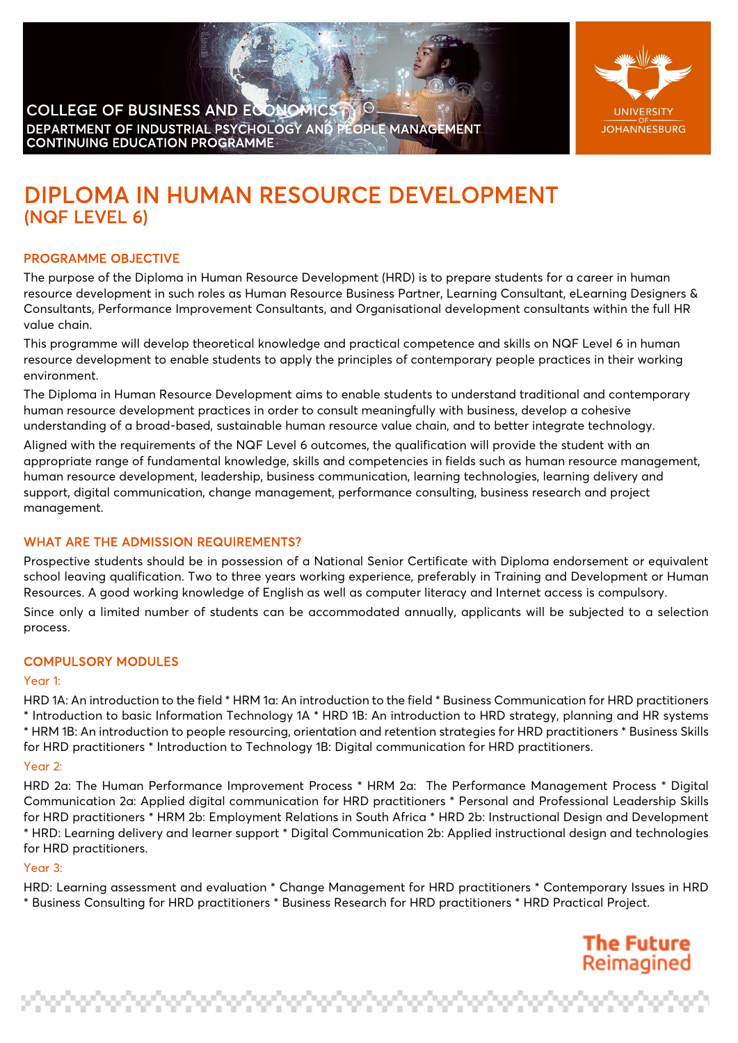



# DIPLOMA IN HUMAN RESOURCE DEVELOPMENT (NQF LEVEL 6)

# PROGRAMME OBJECTIVE

The purpose of the Diploma in Human Resource Development (HRD) is to prepare students for a career in human resource development in such roles as Human Resource Business Partner, Learning Consultant, eLearning Designers & Consultants, Performance Improvement Consultants, and Organisational development consultants within the full HR value chain.

This programme will develop theoretical knowledge and practical competence and skills on NQF Level 6 in human resource development to enable students to apply the principles of contemporary people practices in their working environment.

The Diploma in Human Resource Development aims to enable students to understand traditional and contemporary human resource development practices in order to consult meaningfully with business, develop a cohesive understanding of a broad-based, sustainable human resource value chain, and to better integrate technology.

Aligned with the requirements of the NQF Level 6 outcomes, the qualification will provide the student with an appropriate range of fundamental knowledge, skills and competencies in fields such as human resource management, human resource development, leadership, business communication, learning technologies, learning delivery and support, digital communication, change management, performance consulting, business research and project management.

# WHAT ARE THE ADMISSION REQUIREMENTS?

ina ina ina ina ina ina ina ina ina

Prospective students should be in possession of a National Senior Certificate with Diploma endorsement or equivalent school leaving qualification. Two to three years working experience, preferably in Training and Development or Human Resources. A good working knowledge of English as well as computer literacy and Internet access is compulsory. Since only a limited number of students can be accommodated annually, applicants will be subjected to a selection process.

## COMPULSORY MODULES

#### Year 1:

HRD 1A: An introduction to the field \* HRM 1a: An introduction to the field \* Business Communication for HRD practitioners \* Introduction to basic Information Technology 1A \* HRD 1B: An introduction to HRD strategy, planning and HR systems \* HRM 1B: An introduction to people resourcing, orientation and retention strategies for HRD practitioners \* Business Skills for HRD practitioners \* Introduction to Technology 1B: Digital communication for HRD practitioners.

#### Year 2:

HRD 2a: The Human Performance Improvement Process \* HRM 2a: The Performance Management Process \* Digital Communication 2a: Applied digital communication for HRD practitioners \* Personal and Professional Leadership Skills for HRD practitioners \* HRM 2b: Employment Relations in South Africa \* HRD 2b: Instructional Design and Development \* HRD: Learning delivery and learner support \* Digital Communication 2b: Applied instructional design and technologies for HRD practitioners.

# Year 3:

HRD: Learning assessment and evaluation \* Change Management for HRD practitioners \* Contemporary Issues in HRD \* Business Consulting for HRD practitioners \* Business Research for HRD practitioners \* HRD Practical Project.

> **The Future** Reimagined

reterioristicist